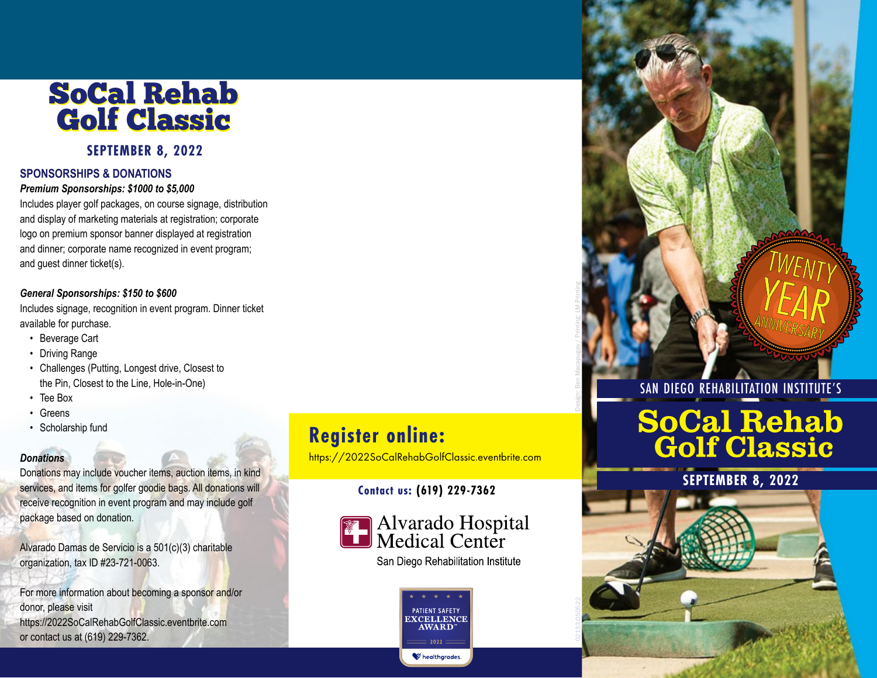## SoCal Rehab SoCal Rehab Golf Classic Golf Classic

#### **SEPTEMBER 8, 2022**

#### **SPONSORSHIPS & DONATIONS**

#### *Premium Sponsorships: \$1000 to \$5,000*

Includes player golf packages, on course signage, distribution and display of marketing materials at registration; corporate logo on premium sponsor banner displayed at registration and dinner; corporate name recognized in event program; and guest dinner ticket(s).

#### *General Sponsorships: \$150 to \$600*

Includes signage, recognition in event program. Dinner ticket available for purchase.

- Beverage Cart
- Driving Range
- Challenges (Putting, Longest drive, Closest to the Pin, Closest to the Line, Hole-in-One)
- Tee Box
- Greens
- Scholarship fund

#### *Donations*

Donations may include voucher items, auction items, in kind services, and items for golfer goodie bags. All donations will receive recognition in event program and may include golf package based on donation.

Alvarado Damas de Servicio is a 501(c)(3) charitable organization, tax ID #23-721-0063.

For more information about becoming a sponsor and/or donor, please visit https://2022SoCalRehabGolfClassic.eventbrite.com or contact us at (619) 229-7362.

### **Register online:**

https://2022SoCalRehabGolfClassic.eventbrite.com

#### **Contact us: (619) 229-7362**



**PATIENT SAFET XCELLENCE AWARD** healthgrades

SAN DIEGO REHABILITATION INSTITUTE'S

Design: Ben Macapugay / Printing: LM Printing

# **SoCal Rehab<br>Golf Classic**

**SEPTEMBER 8, 2022**